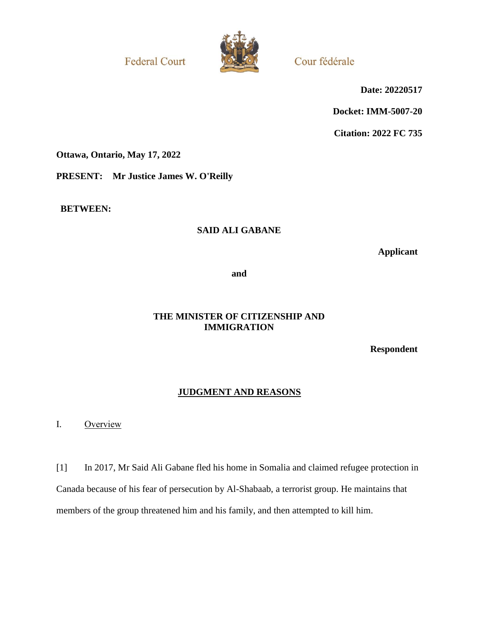**Federal Court** 



Cour fédérale

**Date: 20220517**

**Docket: IMM-5007-20**

**Citation: 2022 FC 735**

**Ottawa, Ontario, May 17, 2022**

**PRESENT: Mr Justice James W. O'Reilly**

**BETWEEN:**

# **SAID ALI GABANE**

**Applicant**

**and**

# **THE MINISTER OF CITIZENSHIP AND IMMIGRATION**

**Respondent**

# **JUDGMENT AND REASONS**

I. Overview

[1] In 2017, Mr Said Ali Gabane fled his home in Somalia and claimed refugee protection in Canada because of his fear of persecution by Al-Shabaab, a terrorist group. He maintains that members of the group threatened him and his family, and then attempted to kill him.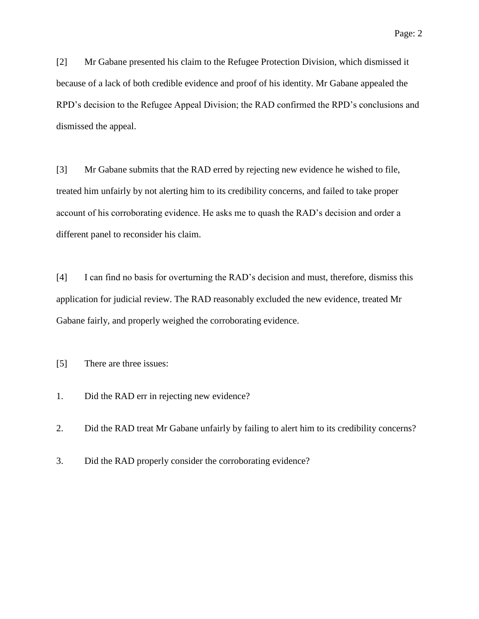[2] Mr Gabane presented his claim to the Refugee Protection Division, which dismissed it because of a lack of both credible evidence and proof of his identity. Mr Gabane appealed the RPD's decision to the Refugee Appeal Division; the RAD confirmed the RPD's conclusions and dismissed the appeal.

[3] Mr Gabane submits that the RAD erred by rejecting new evidence he wished to file, treated him unfairly by not alerting him to its credibility concerns, and failed to take proper account of his corroborating evidence. He asks me to quash the RAD's decision and order a different panel to reconsider his claim.

[4] I can find no basis for overturning the RAD's decision and must, therefore, dismiss this application for judicial review. The RAD reasonably excluded the new evidence, treated Mr Gabane fairly, and properly weighed the corroborating evidence.

[5] There are three issues:

1. Did the RAD err in rejecting new evidence?

2. Did the RAD treat Mr Gabane unfairly by failing to alert him to its credibility concerns?

3. Did the RAD properly consider the corroborating evidence?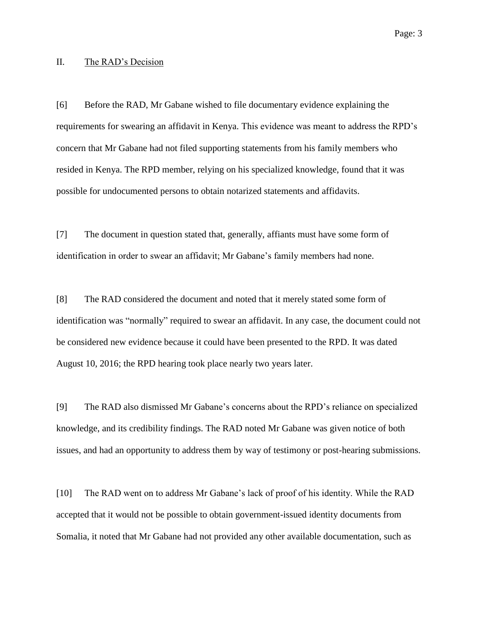#### II. The RAD's Decision

[6] Before the RAD, Mr Gabane wished to file documentary evidence explaining the requirements for swearing an affidavit in Kenya. This evidence was meant to address the RPD's concern that Mr Gabane had not filed supporting statements from his family members who resided in Kenya. The RPD member, relying on his specialized knowledge, found that it was possible for undocumented persons to obtain notarized statements and affidavits.

[7] The document in question stated that, generally, affiants must have some form of identification in order to swear an affidavit; Mr Gabane's family members had none.

[8] The RAD considered the document and noted that it merely stated some form of identification was "normally" required to swear an affidavit. In any case, the document could not be considered new evidence because it could have been presented to the RPD. It was dated August 10, 2016; the RPD hearing took place nearly two years later.

[9] The RAD also dismissed Mr Gabane's concerns about the RPD's reliance on specialized knowledge, and its credibility findings. The RAD noted Mr Gabane was given notice of both issues, and had an opportunity to address them by way of testimony or post-hearing submissions.

[10] The RAD went on to address Mr Gabane's lack of proof of his identity. While the RAD accepted that it would not be possible to obtain government-issued identity documents from Somalia, it noted that Mr Gabane had not provided any other available documentation, such as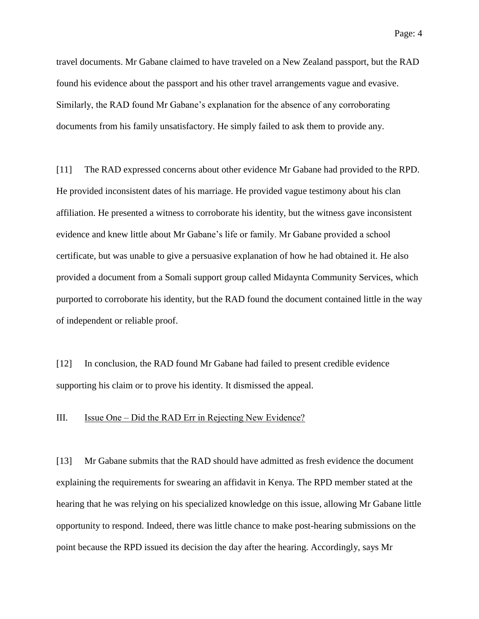travel documents. Mr Gabane claimed to have traveled on a New Zealand passport, but the RAD found his evidence about the passport and his other travel arrangements vague and evasive. Similarly, the RAD found Mr Gabane's explanation for the absence of any corroborating documents from his family unsatisfactory. He simply failed to ask them to provide any.

[11] The RAD expressed concerns about other evidence Mr Gabane had provided to the RPD. He provided inconsistent dates of his marriage. He provided vague testimony about his clan affiliation. He presented a witness to corroborate his identity, but the witness gave inconsistent evidence and knew little about Mr Gabane's life or family. Mr Gabane provided a school certificate, but was unable to give a persuasive explanation of how he had obtained it. He also provided a document from a Somali support group called Midaynta Community Services, which purported to corroborate his identity, but the RAD found the document contained little in the way of independent or reliable proof.

[12] In conclusion, the RAD found Mr Gabane had failed to present credible evidence supporting his claim or to prove his identity. It dismissed the appeal.

#### III. Issue One – Did the RAD Err in Rejecting New Evidence?

[13] Mr Gabane submits that the RAD should have admitted as fresh evidence the document explaining the requirements for swearing an affidavit in Kenya. The RPD member stated at the hearing that he was relying on his specialized knowledge on this issue, allowing Mr Gabane little opportunity to respond. Indeed, there was little chance to make post-hearing submissions on the point because the RPD issued its decision the day after the hearing. Accordingly, says Mr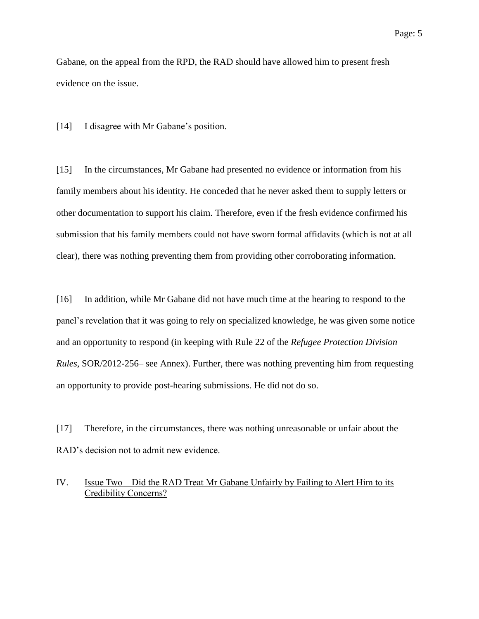Gabane, on the appeal from the RPD, the RAD should have allowed him to present fresh evidence on the issue.

[14] I disagree with Mr Gabane's position.

[15] In the circumstances, Mr Gabane had presented no evidence or information from his family members about his identity. He conceded that he never asked them to supply letters or other documentation to support his claim. Therefore, even if the fresh evidence confirmed his submission that his family members could not have sworn formal affidavits (which is not at all clear), there was nothing preventing them from providing other corroborating information.

[16] In addition, while Mr Gabane did not have much time at the hearing to respond to the panel's revelation that it was going to rely on specialized knowledge, he was given some notice and an opportunity to respond (in keeping with Rule 22 of the *Refugee Protection Division Rules*, SOR/2012-256– see Annex). Further, there was nothing preventing him from requesting an opportunity to provide post-hearing submissions. He did not do so.

[17] Therefore, in the circumstances, there was nothing unreasonable or unfair about the RAD's decision not to admit new evidence.

### IV. Issue Two – Did the RAD Treat Mr Gabane Unfairly by Failing to Alert Him to its Credibility Concerns?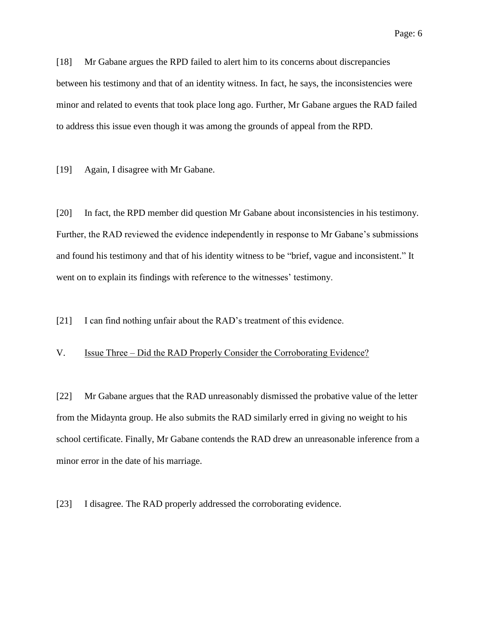[18] Mr Gabane argues the RPD failed to alert him to its concerns about discrepancies between his testimony and that of an identity witness. In fact, he says, the inconsistencies were minor and related to events that took place long ago. Further, Mr Gabane argues the RAD failed to address this issue even though it was among the grounds of appeal from the RPD.

[19] Again, I disagree with Mr Gabane.

[20] In fact, the RPD member did question Mr Gabane about inconsistencies in his testimony. Further, the RAD reviewed the evidence independently in response to Mr Gabane's submissions and found his testimony and that of his identity witness to be "brief, vague and inconsistent." It went on to explain its findings with reference to the witnesses' testimony.

[21] I can find nothing unfair about the RAD's treatment of this evidence.

#### V. Issue Three – Did the RAD Properly Consider the Corroborating Evidence?

[22] Mr Gabane argues that the RAD unreasonably dismissed the probative value of the letter from the Midaynta group. He also submits the RAD similarly erred in giving no weight to his school certificate. Finally, Mr Gabane contends the RAD drew an unreasonable inference from a minor error in the date of his marriage.

[23] I disagree. The RAD properly addressed the corroborating evidence.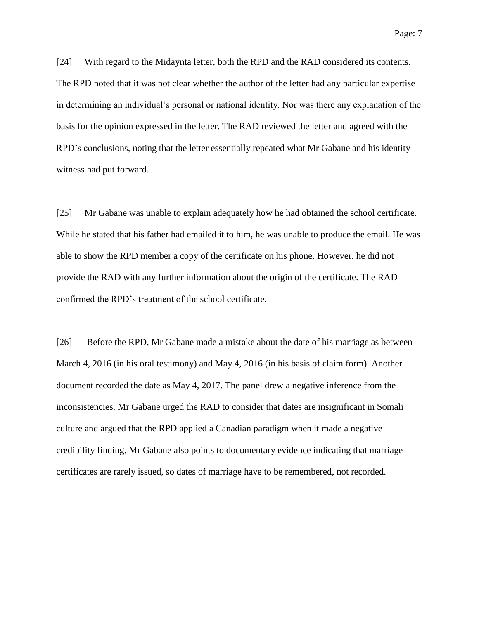[24] With regard to the Midaynta letter, both the RPD and the RAD considered its contents. The RPD noted that it was not clear whether the author of the letter had any particular expertise in determining an individual's personal or national identity. Nor was there any explanation of the basis for the opinion expressed in the letter. The RAD reviewed the letter and agreed with the RPD's conclusions, noting that the letter essentially repeated what Mr Gabane and his identity witness had put forward.

[25] Mr Gabane was unable to explain adequately how he had obtained the school certificate. While he stated that his father had emailed it to him, he was unable to produce the email. He was able to show the RPD member a copy of the certificate on his phone. However, he did not provide the RAD with any further information about the origin of the certificate. The RAD confirmed the RPD's treatment of the school certificate.

[26] Before the RPD, Mr Gabane made a mistake about the date of his marriage as between March 4, 2016 (in his oral testimony) and May 4, 2016 (in his basis of claim form). Another document recorded the date as May 4, 2017. The panel drew a negative inference from the inconsistencies. Mr Gabane urged the RAD to consider that dates are insignificant in Somali culture and argued that the RPD applied a Canadian paradigm when it made a negative credibility finding. Mr Gabane also points to documentary evidence indicating that marriage certificates are rarely issued, so dates of marriage have to be remembered, not recorded.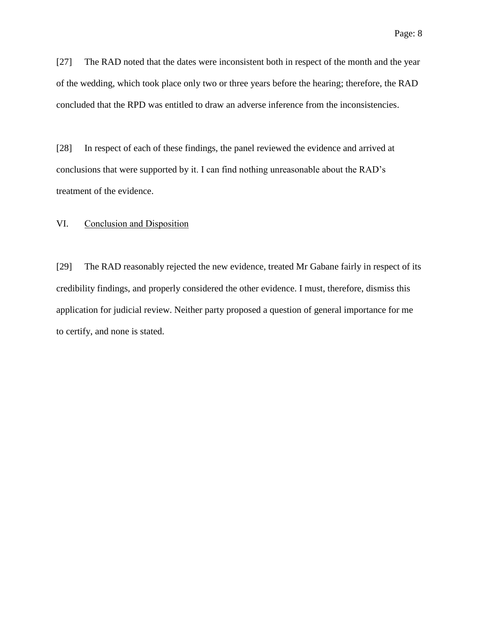[27] The RAD noted that the dates were inconsistent both in respect of the month and the year of the wedding, which took place only two or three years before the hearing; therefore, the RAD concluded that the RPD was entitled to draw an adverse inference from the inconsistencies.

[28] In respect of each of these findings, the panel reviewed the evidence and arrived at conclusions that were supported by it. I can find nothing unreasonable about the RAD's treatment of the evidence.

#### VI. Conclusion and Disposition

[29] The RAD reasonably rejected the new evidence, treated Mr Gabane fairly in respect of its credibility findings, and properly considered the other evidence. I must, therefore, dismiss this application for judicial review. Neither party proposed a question of general importance for me to certify, and none is stated.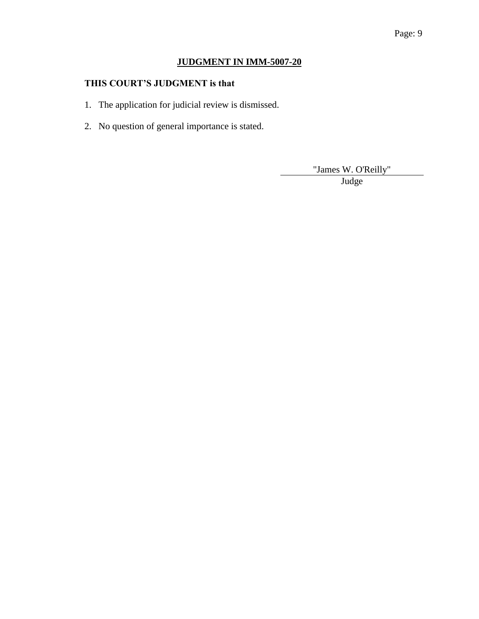# Page: 9

# **JUDGMENT IN IMM-5007-20**

# **THIS COURT'S JUDGMENT is that**

- 1. The application for judicial review is dismissed.
- 2. No question of general importance is stated.

"James W. O'Reilly"

Judge